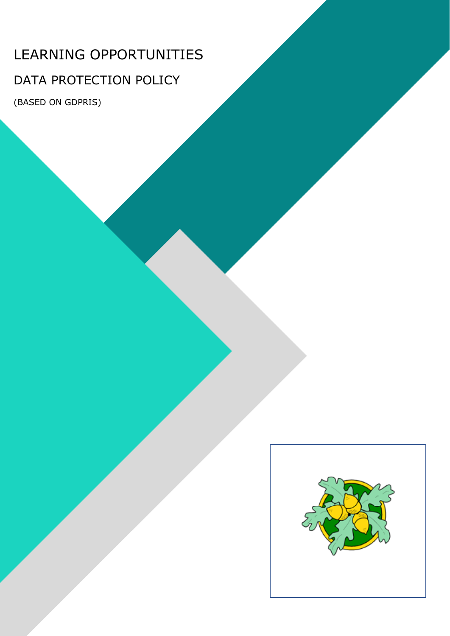# LEARNING OPPORTUNITIES

# DATA PROTECTION POLICY

(BASED ON GDPRIS)

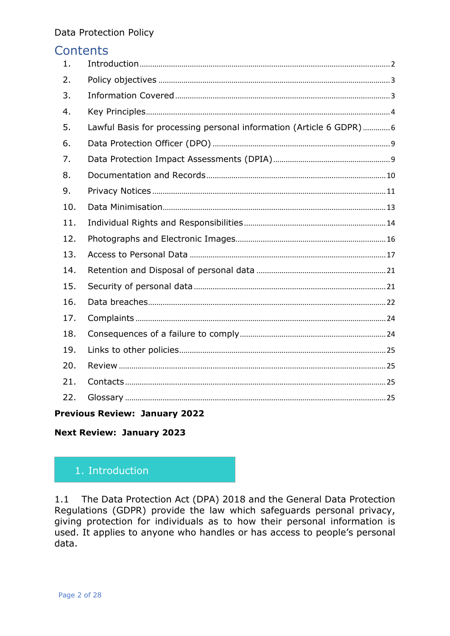# Contents

| 1.  |                                                                    |
|-----|--------------------------------------------------------------------|
| 2.  |                                                                    |
| 3.  |                                                                    |
| 4.  |                                                                    |
| 5.  | Lawful Basis for processing personal information (Article 6 GDPR)6 |
| 6.  |                                                                    |
| 7.  |                                                                    |
| 8.  |                                                                    |
| 9.  |                                                                    |
| 10. |                                                                    |
| 11. |                                                                    |
| 12. |                                                                    |
| 13. |                                                                    |
| 14. |                                                                    |
| 15. |                                                                    |
| 16. |                                                                    |
| 17. |                                                                    |
| 18. |                                                                    |
| 19. |                                                                    |
| 20. |                                                                    |
| 21. |                                                                    |
| 22. |                                                                    |

# **Previous Review: January 2022**

**Next Review: January 2023** 

# <span id="page-1-0"></span>1. Introduction

1.1 The Data Protection Act (DPA) 2018 and the General Data Protection Regulations (GDPR) provide the law which safeguards personal privacy, giving protection for individuals as to how their personal information is used. It applies to anyone who handles or has access to people's personal data.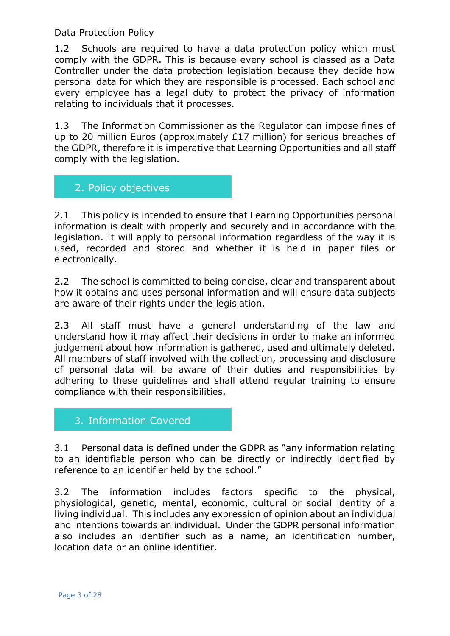1.2 Schools are required to have a data protection policy which must comply with the GDPR. This is because every school is classed as a Data Controller under the data protection legislation because they decide how personal data for which they are responsible is processed. Each school and every employee has a legal duty to protect the privacy of information relating to individuals that it processes.

1.3 The Information Commissioner as the Regulator can impose fines of up to 20 million Euros (approximately £17 million) for serious breaches of the GDPR, therefore it is imperative that Learning Opportunities and all staff comply with the legislation.

# <span id="page-2-0"></span>2. Policy objectives

2.1 This policy is intended to ensure that Learning Opportunities personal information is dealt with properly and securely and in accordance with the legislation. It will apply to personal information regardless of the way it is used, recorded and stored and whether it is held in paper files or electronically.

2.2 The school is committed to being concise, clear and transparent about how it obtains and uses personal information and will ensure data subjects are aware of their rights under the legislation.

2.3 All staff must have a general understanding of the law and understand how it may affect their decisions in order to make an informed judgement about how information is gathered, used and ultimately deleted. All members of staff involved with the collection, processing and disclosure of personal data will be aware of their duties and responsibilities by adhering to these guidelines and shall attend regular training to ensure compliance with their responsibilities.

# <span id="page-2-1"></span>3. Information Covered

3.1 Personal data is defined under the GDPR as "any information relating to an identifiable person who can be directly or indirectly identified by reference to an identifier held by the school."

3.2 The information includes factors specific to the physical, physiological, genetic, mental, economic, cultural or social identity of a living individual. This includes any expression of opinion about an individual and intentions towards an individual. Under the GDPR personal information also includes an identifier such as a name, an identification number, location data or an online identifier.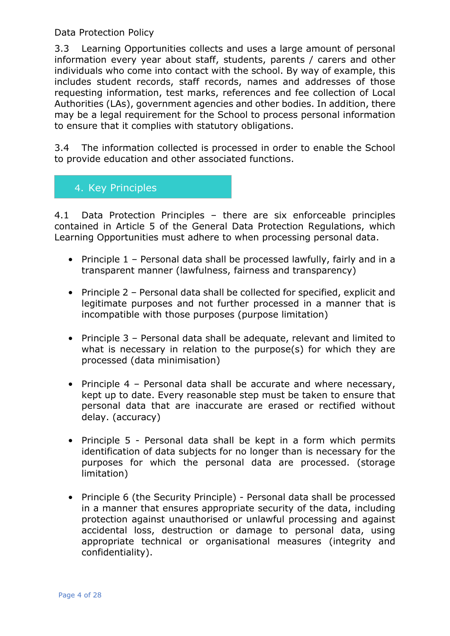3.3 Learning Opportunities collects and uses a large amount of personal information every year about staff, students, parents / carers and other individuals who come into contact with the school. By way of example, this includes student records, staff records, names and addresses of those requesting information, test marks, references and fee collection of Local Authorities (LAs), government agencies and other bodies. In addition, there may be a legal requirement for the School to process personal information to ensure that it complies with statutory obligations.

3.4 The information collected is processed in order to enable the School to provide education and other associated functions.

# <span id="page-3-0"></span>4. Key Principles

4.1 Data Protection Principles – there are six enforceable principles contained in Article 5 of the General Data Protection Regulations, which Learning Opportunities must adhere to when processing personal data.

- Principle 1 Personal data shall be processed lawfully, fairly and in a transparent manner (lawfulness, fairness and transparency)
- Principle 2 Personal data shall be collected for specified, explicit and legitimate purposes and not further processed in a manner that is incompatible with those purposes (purpose limitation)
- Principle 3 Personal data shall be adequate, relevant and limited to what is necessary in relation to the purpose(s) for which they are processed (data minimisation)
- Principle 4 Personal data shall be accurate and where necessary, kept up to date. Every reasonable step must be taken to ensure that personal data that are inaccurate are erased or rectified without delay. (accuracy)
- Principle 5 Personal data shall be kept in a form which permits identification of data subjects for no longer than is necessary for the purposes for which the personal data are processed. (storage limitation)
- Principle 6 (the Security Principle) Personal data shall be processed in a manner that ensures appropriate security of the data, including protection against unauthorised or unlawful processing and against accidental loss, destruction or damage to personal data, using appropriate technical or organisational measures (integrity and confidentiality).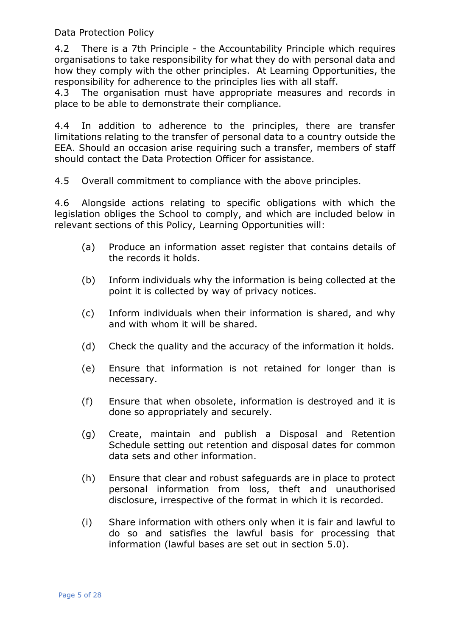4.2 There is a 7th Principle - the Accountability Principle which requires organisations to take responsibility for what they do with personal data and how they comply with the other principles. At Learning Opportunities, the responsibility for adherence to the principles lies with all staff.

4.3 The organisation must have appropriate measures and records in place to be able to demonstrate their compliance.

4.4 In addition to adherence to the principles, there are transfer limitations relating to the transfer of personal data to a country outside the EEA. Should an occasion arise requiring such a transfer, members of staff should contact the Data Protection Officer for assistance.

4.5 Overall commitment to compliance with the above principles.

4.6 Alongside actions relating to specific obligations with which the legislation obliges the School to comply, and which are included below in relevant sections of this Policy, Learning Opportunities will:

- (a) Produce an information asset register that contains details of the records it holds.
- (b) Inform individuals why the information is being collected at the point it is collected by way of privacy notices.
- (c) Inform individuals when their information is shared, and why and with whom it will be shared.
- (d) Check the quality and the accuracy of the information it holds.
- (e) Ensure that information is not retained for longer than is necessary.
- (f) Ensure that when obsolete, information is destroyed and it is done so appropriately and securely.
- (g) Create, maintain and publish a Disposal and Retention Schedule setting out retention and disposal dates for common data sets and other information.
- (h) Ensure that clear and robust safeguards are in place to protect personal information from loss, theft and unauthorised disclosure, irrespective of the format in which it is recorded.
- (i) Share information with others only when it is fair and lawful to do so and satisfies the lawful basis for processing that information (lawful bases are set out in section 5.0).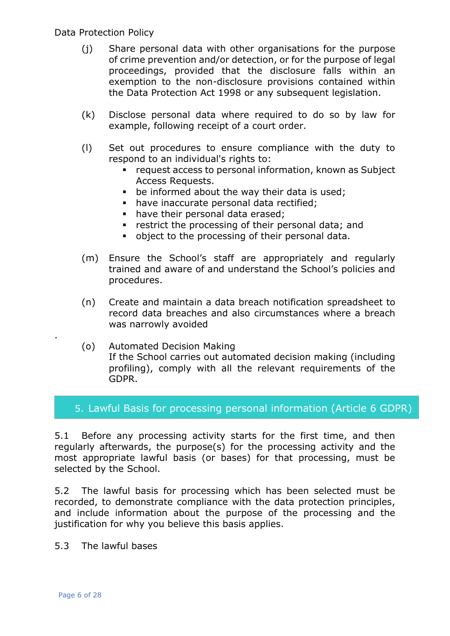- (j) Share personal data with other organisations for the purpose of crime prevention and/or detection, or for the purpose of legal proceedings, provided that the disclosure falls within an exemption to the non-disclosure provisions contained within the Data Protection Act 1998 or any subsequent legislation.
- (k) Disclose personal data where required to do so by law for example, following receipt of a court order.
- (l) Set out procedures to ensure compliance with the duty to respond to an individual's rights to:
	- request access to personal information, known as Subject Access Requests.
	- **•** be informed about the way their data is used;
	- have inaccurate personal data rectified:
	- have their personal data erased:
	- **•** restrict the processing of their personal data; and
	- object to the processing of their personal data.
- (m) Ensure the School's staff are appropriately and regularly trained and aware of and understand the School's policies and procedures.
- (n) Create and maintain a data breach notification spreadsheet to record data breaches and also circumstances where a breach was narrowly avoided
- (o) Automated Decision Making If the School carries out automated decision making (including profiling), comply with all the relevant requirements of the GDPR.

#### <span id="page-5-0"></span>5. Lawful Basis for processing personal information (Article 6 GDPR)

5.1 Before any processing activity starts for the first time, and then regularly afterwards, the purpose(s) for the processing activity and the most appropriate lawful basis (or bases) for that processing, must be selected by the School.

5.2 The lawful basis for processing which has been selected must be recorded, to demonstrate compliance with the data protection principles, and include information about the purpose of the processing and the justification for why you believe this basis applies.

5.3 The lawful bases

.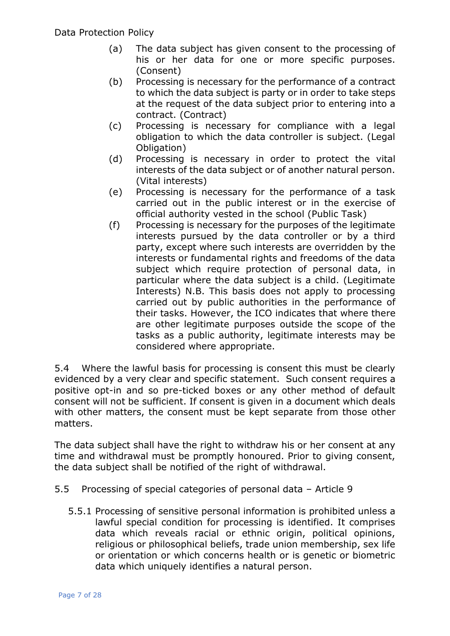- (a) The data subject has given consent to the processing of his or her data for one or more specific purposes. (Consent)
- (b) Processing is necessary for the performance of a contract to which the data subject is party or in order to take steps at the request of the data subject prior to entering into a contract. (Contract)
- (c) Processing is necessary for compliance with a legal obligation to which the data controller is subject. (Legal Obligation)
- (d) Processing is necessary in order to protect the vital interests of the data subject or of another natural person. (Vital interests)
- (e) Processing is necessary for the performance of a task carried out in the public interest or in the exercise of official authority vested in the school (Public Task)
- (f) Processing is necessary for the purposes of the legitimate interests pursued by the data controller or by a third party, except where such interests are overridden by the interests or fundamental rights and freedoms of the data subject which require protection of personal data, in particular where the data subject is a child. (Legitimate Interests) N.B. This basis does not apply to processing carried out by public authorities in the performance of their tasks. However, the ICO indicates that where there are other legitimate purposes outside the scope of the tasks as a public authority, legitimate interests may be considered where appropriate.

5.4 Where the lawful basis for processing is consent this must be clearly evidenced by a very clear and specific statement. Such consent requires a positive opt-in and so pre-ticked boxes or any other method of default consent will not be sufficient. If consent is given in a document which deals with other matters, the consent must be kept separate from those other matters.

The data subject shall have the right to withdraw his or her consent at any time and withdrawal must be promptly honoured. Prior to giving consent, the data subject shall be notified of the right of withdrawal.

- 5.5 Processing of special categories of personal data Article 9
	- 5.5.1 Processing of sensitive personal information is prohibited unless a lawful special condition for processing is identified. It comprises data which reveals racial or ethnic origin, political opinions, religious or philosophical beliefs, trade union membership, sex life or orientation or which concerns health or is genetic or biometric data which uniquely identifies a natural person.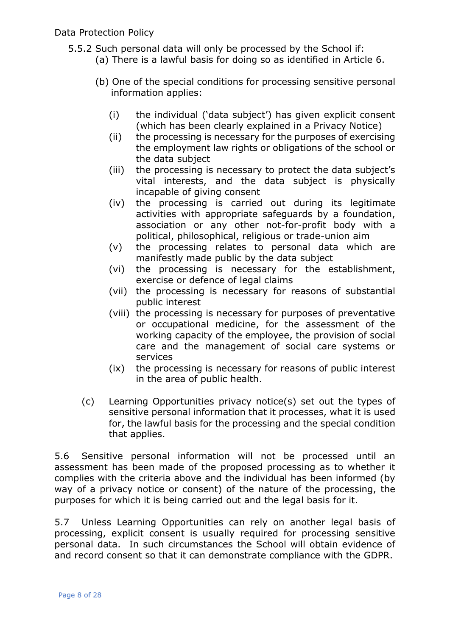- 5.5.2 Such personal data will only be processed by the School if: (a) There is a lawful basis for doing so as identified in Article 6.
	- (b) One of the special conditions for processing sensitive personal information applies:
		- (i) the individual ('data subject') has given explicit consent (which has been clearly explained in a Privacy Notice)
		- (ii) the processing is necessary for the purposes of exercising the employment law rights or obligations of the school or the data subject
		- (iii) the processing is necessary to protect the data subject's vital interests, and the data subject is physically incapable of giving consent
		- (iv) the processing is carried out during its legitimate activities with appropriate safeguards by a foundation, association or any other not-for-profit body with a political, philosophical, religious or trade-union aim
		- (v) the processing relates to personal data which are manifestly made public by the data subject
		- (vi) the processing is necessary for the establishment, exercise or defence of legal claims
		- (vii) the processing is necessary for reasons of substantial public interest
		- (viii) the processing is necessary for purposes of preventative or occupational medicine, for the assessment of the working capacity of the employee, the provision of social care and the management of social care systems or services
		- (ix) the processing is necessary for reasons of public interest in the area of public health.
	- (c) Learning Opportunities privacy notice(s) set out the types of sensitive personal information that it processes, what it is used for, the lawful basis for the processing and the special condition that applies.

5.6 Sensitive personal information will not be processed until an assessment has been made of the proposed processing as to whether it complies with the criteria above and the individual has been informed (by way of a privacy notice or consent) of the nature of the processing, the purposes for which it is being carried out and the legal basis for it.

5.7 Unless Learning Opportunities can rely on another legal basis of processing, explicit consent is usually required for processing sensitive personal data. In such circumstances the School will obtain evidence of and record consent so that it can demonstrate compliance with the GDPR.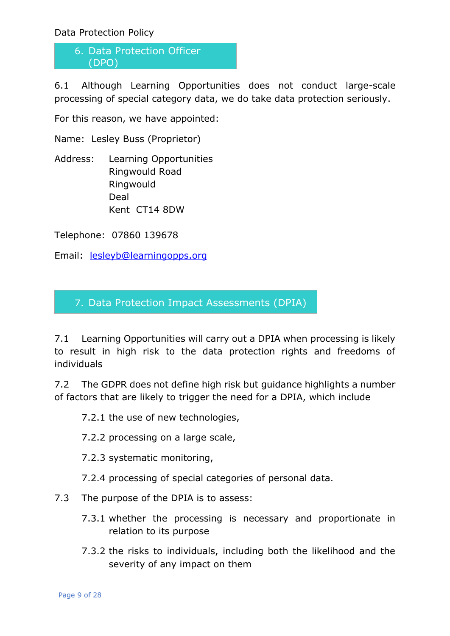<span id="page-8-0"></span>6. Data Protection Officer (DPO)

6.1 Although Learning Opportunities does not conduct large-scale processing of special category data, we do take data protection seriously.

For this reason, we have appointed:

Name: Lesley Buss (Proprietor)

Address: Learning Opportunities Ringwould Road Ringwould Deal Kent CT14 8DW

Telephone: 07860 139678

Email: [lesleyb@learningopps.org](mailto:lesleyb@learningopps.org)

<span id="page-8-1"></span>7. Data Protection Impact Assessments (DPIA)

7.1 Learning Opportunities will carry out a DPIA when processing is likely to result in high risk to the data protection rights and freedoms of individuals

7.2 The GDPR does not define high risk but guidance highlights a number of factors that are likely to trigger the need for a DPIA, which include

7.2.1 the use of new technologies,

7.2.2 processing on a large scale,

7.2.3 systematic monitoring,

7.2.4 processing of special categories of personal data.

7.3 The purpose of the DPIA is to assess:

- 7.3.1 whether the processing is necessary and proportionate in relation to its purpose
- 7.3.2 the risks to individuals, including both the likelihood and the severity of any impact on them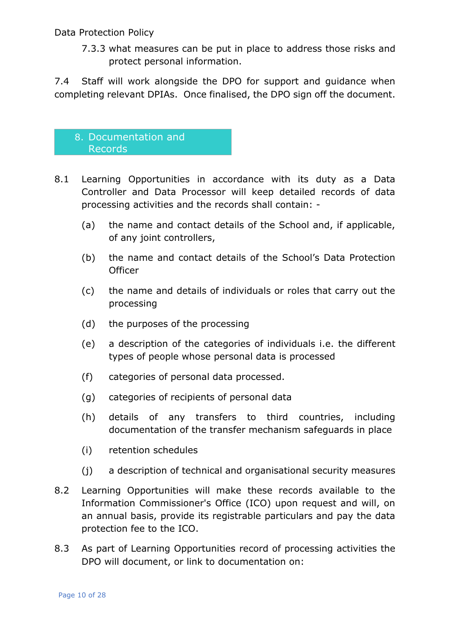7.3.3 what measures can be put in place to address those risks and protect personal information.

7.4 Staff will work alongside the DPO for support and guidance when completing relevant DPIAs. Once finalised, the DPO sign off the document.

# <span id="page-9-0"></span>8. Documentation and Records

- 8.1 Learning Opportunities in accordance with its duty as a Data Controller and Data Processor will keep detailed records of data processing activities and the records shall contain: -
	- (a) the name and contact details of the School and, if applicable, of any joint controllers,
	- (b) the name and contact details of the School's Data Protection **Officer**
	- (c) the name and details of individuals or roles that carry out the processing
	- (d) the purposes of the processing
	- (e) a description of the categories of individuals i.e. the different types of people whose personal data is processed
	- (f) categories of personal data processed.
	- (g) categories of recipients of personal data
	- (h) details of any transfers to third countries, including documentation of the transfer mechanism safeguards in place
	- (i) retention schedules
	- (j) a description of technical and organisational security measures
- 8.2 Learning Opportunities will make these records available to the Information Commissioner's Office (ICO) upon request and will, on an annual basis, provide its registrable particulars and pay the data protection fee to the ICO.
- 8.3 As part of Learning Opportunities record of processing activities the DPO will document, or link to documentation on: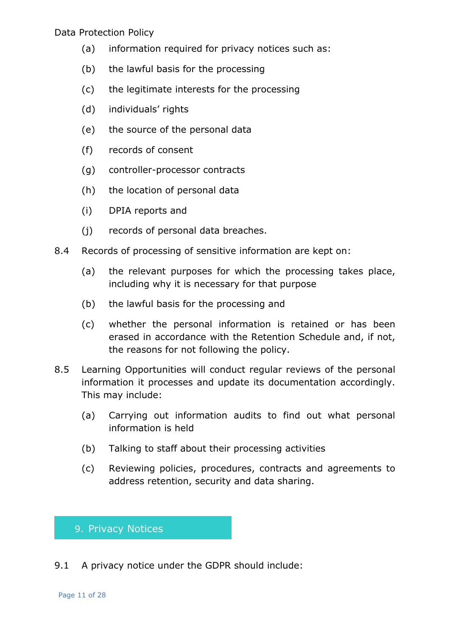- (a) information required for privacy notices such as:
- (b) the lawful basis for the processing
- (c) the legitimate interests for the processing
- (d) individuals' rights
- (e) the source of the personal data
- (f) records of consent
- (g) controller-processor contracts
- (h) the location of personal data
- (i) DPIA reports and
- (j) records of personal data breaches.
- 8.4 Records of processing of sensitive information are kept on:
	- (a) the relevant purposes for which the processing takes place, including why it is necessary for that purpose
	- (b) the lawful basis for the processing and
	- (c) whether the personal information is retained or has been erased in accordance with the Retention Schedule and, if not, the reasons for not following the policy.
- 8.5 Learning Opportunities will conduct regular reviews of the personal information it processes and update its documentation accordingly. This may include:
	- (a) Carrying out information audits to find out what personal information is held
	- (b) Talking to staff about their processing activities
	- (c) Reviewing policies, procedures, contracts and agreements to address retention, security and data sharing.

#### <span id="page-10-0"></span>9. Privacy Notices

9.1 A privacy notice under the GDPR should include: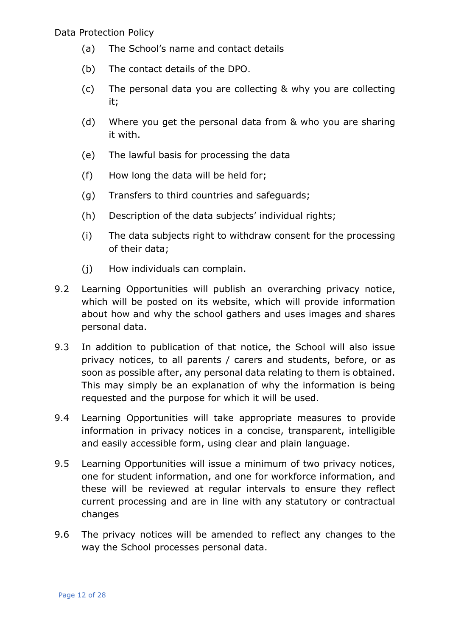- (a) The School's name and contact details
- (b) The contact details of the DPO.
- (c) The personal data you are collecting & why you are collecting it;
- (d) Where you get the personal data from & who you are sharing it with.
- (e) The lawful basis for processing the data
- (f) How long the data will be held for;
- (g) Transfers to third countries and safeguards;
- (h) Description of the data subjects' individual rights;
- (i) The data subjects right to withdraw consent for the processing of their data;
- (j) How individuals can complain.
- 9.2 Learning Opportunities will publish an overarching privacy notice, which will be posted on its website, which will provide information about how and why the school gathers and uses images and shares personal data.
- 9.3 In addition to publication of that notice, the School will also issue privacy notices, to all parents / carers and students, before, or as soon as possible after, any personal data relating to them is obtained. This may simply be an explanation of why the information is being requested and the purpose for which it will be used.
- 9.4 Learning Opportunities will take appropriate measures to provide information in privacy notices in a concise, transparent, intelligible and easily accessible form, using clear and plain language.
- 9.5 Learning Opportunities will issue a minimum of two privacy notices, one for student information, and one for workforce information, and these will be reviewed at regular intervals to ensure they reflect current processing and are in line with any statutory or contractual changes
- 9.6 The privacy notices will be amended to reflect any changes to the way the School processes personal data.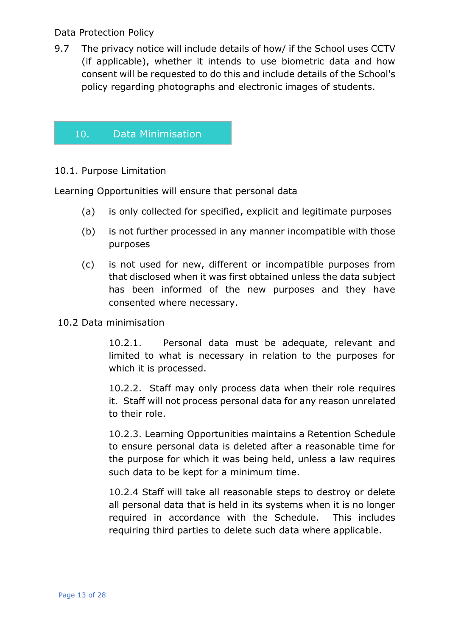9.7 The privacy notice will include details of how/ if the School uses CCTV (if applicable), whether it intends to use biometric data and how consent will be requested to do this and include details of the School's policy regarding photographs and electronic images of students.

# <span id="page-12-0"></span>10. Data Minimisation

#### 10.1. Purpose Limitation

Learning Opportunities will ensure that personal data

- (a) is only collected for specified, explicit and legitimate purposes
- (b) is not further processed in any manner incompatible with those purposes
- (c) is not used for new, different or incompatible purposes from that disclosed when it was first obtained unless the data subject has been informed of the new purposes and they have consented where necessary.

#### 10.2 Data minimisation

10.2.1. Personal data must be adequate, relevant and limited to what is necessary in relation to the purposes for which it is processed.

10.2.2. Staff may only process data when their role requires it. Staff will not process personal data for any reason unrelated to their role.

10.2.3. Learning Opportunities maintains a Retention Schedule to ensure personal data is deleted after a reasonable time for the purpose for which it was being held, unless a law requires such data to be kept for a minimum time.

10.2.4 Staff will take all reasonable steps to destroy or delete all personal data that is held in its systems when it is no longer required in accordance with the Schedule. This includes requiring third parties to delete such data where applicable.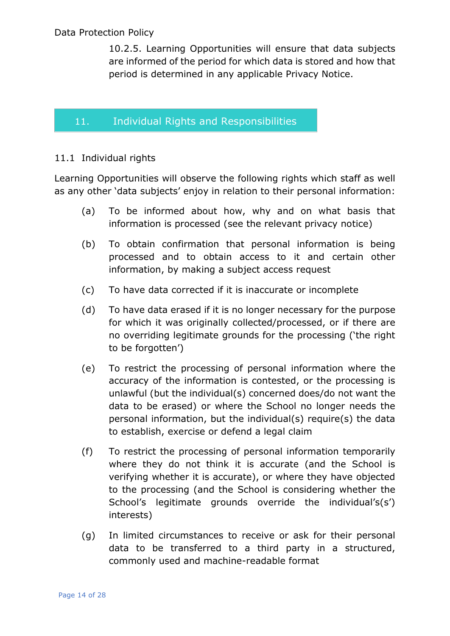10.2.5. Learning Opportunities will ensure that data subjects are informed of the period for which data is stored and how that period is determined in any applicable Privacy Notice.

# <span id="page-13-0"></span>11. Individual Rights and Responsibilities

# 11.1 Individual rights

Learning Opportunities will observe the following rights which staff as well as any other 'data subjects' enjoy in relation to their personal information:

- (a) To be informed about how, why and on what basis that information is processed (see the relevant privacy notice)
- (b) To obtain confirmation that personal information is being processed and to obtain access to it and certain other information, by making a subject access request
- (c) To have data corrected if it is inaccurate or incomplete
- (d) To have data erased if it is no longer necessary for the purpose for which it was originally collected/processed, or if there are no overriding legitimate grounds for the processing ('the right to be forgotten')
- (e) To restrict the processing of personal information where the accuracy of the information is contested, or the processing is unlawful (but the individual(s) concerned does/do not want the data to be erased) or where the School no longer needs the personal information, but the individual(s) require(s) the data to establish, exercise or defend a legal claim
- (f) To restrict the processing of personal information temporarily where they do not think it is accurate (and the School is verifying whether it is accurate), or where they have objected to the processing (and the School is considering whether the School's legitimate grounds override the individual's(s') interests)
- (g) In limited circumstances to receive or ask for their personal data to be transferred to a third party in a structured, commonly used and machine-readable format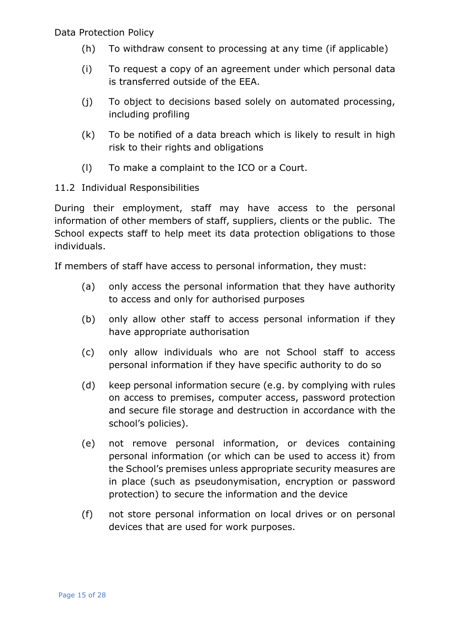- (h) To withdraw consent to processing at any time (if applicable)
- (i) To request a copy of an agreement under which personal data is transferred outside of the EEA.
- (j) To object to decisions based solely on automated processing, including profiling
- (k) To be notified of a data breach which is likely to result in high risk to their rights and obligations
- (l) To make a complaint to the ICO or a Court.
- 11.2 Individual Responsibilities

During their employment, staff may have access to the personal information of other members of staff, suppliers, clients or the public. The School expects staff to help meet its data protection obligations to those individuals.

If members of staff have access to personal information, they must:

- (a) only access the personal information that they have authority to access and only for authorised purposes
- (b) only allow other staff to access personal information if they have appropriate authorisation
- (c) only allow individuals who are not School staff to access personal information if they have specific authority to do so
- (d) keep personal information secure (e.g. by complying with rules on access to premises, computer access, password protection and secure file storage and destruction in accordance with the school's policies).
- (e) not remove personal information, or devices containing personal information (or which can be used to access it) from the School's premises unless appropriate security measures are in place (such as pseudonymisation, encryption or password protection) to secure the information and the device
- (f) not store personal information on local drives or on personal devices that are used for work purposes.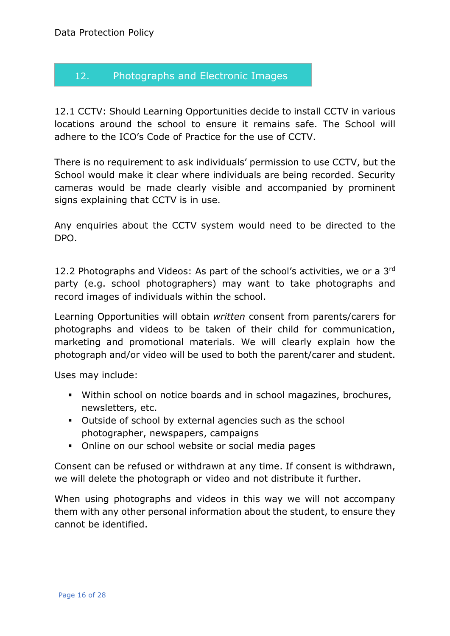# <span id="page-15-0"></span>12. Photographs and Electronic Images

12.1 CCTV: Should Learning Opportunities decide to install CCTV in various locations around the school to ensure it remains safe. The School will adhere to the ICO's Code of Practice for the use of CCTV.

There is no requirement to ask individuals' permission to use CCTV, but the School would make it clear where individuals are being recorded. Security cameras would be made clearly visible and accompanied by prominent signs explaining that CCTV is in use.

Any enquiries about the CCTV system would need to be directed to the DPO.

12.2 Photographs and Videos: As part of the school's activities, we or a 3rd party (e.g. school photographers) may want to take photographs and record images of individuals within the school.

Learning Opportunities will obtain *written* consent from parents/carers for photographs and videos to be taken of their child for communication, marketing and promotional materials. We will clearly explain how the photograph and/or video will be used to both the parent/carer and student.

Uses may include:

- Within school on notice boards and in school magazines, brochures, newsletters, etc.
- Outside of school by external agencies such as the school photographer, newspapers, campaigns
- Online on our school website or social media pages

Consent can be refused or withdrawn at any time. If consent is withdrawn, we will delete the photograph or video and not distribute it further.

When using photographs and videos in this way we will not accompany them with any other personal information about the student, to ensure they cannot be identified.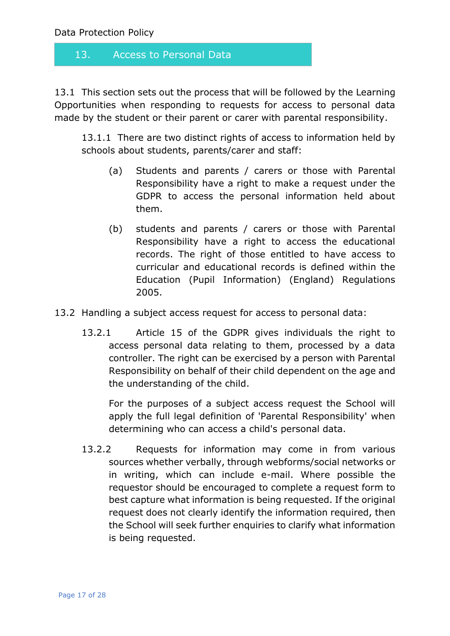# <span id="page-16-0"></span>13. Access to Personal Data

13.1 This section sets out the process that will be followed by the Learning Opportunities when responding to requests for access to personal data made by the student or their parent or carer with parental responsibility.

13.1.1 There are two distinct rights of access to information held by schools about students, parents/carer and staff:

- (a) Students and parents / carers or those with Parental Responsibility have a right to make a request under the GDPR to access the personal information held about them.
- (b) students and parents / carers or those with Parental Responsibility have a right to access the educational records. The right of those entitled to have access to curricular and educational records is defined within the Education (Pupil Information) (England) Regulations 2005.
- 13.2 Handling a subject access request for access to personal data:
	- 13.2.1 Article 15 of the GDPR gives individuals the right to access personal data relating to them, processed by a data controller. The right can be exercised by a person with Parental Responsibility on behalf of their child dependent on the age and the understanding of the child.

For the purposes of a subject access request the School will apply the full legal definition of 'Parental Responsibility' when determining who can access a child's personal data.

13.2.2 Requests for information may come in from various sources whether verbally, through webforms/social networks or in writing, which can include e-mail. Where possible the requestor should be encouraged to complete a request form to best capture what information is being requested. If the original request does not clearly identify the information required, then the School will seek further enquiries to clarify what information is being requested.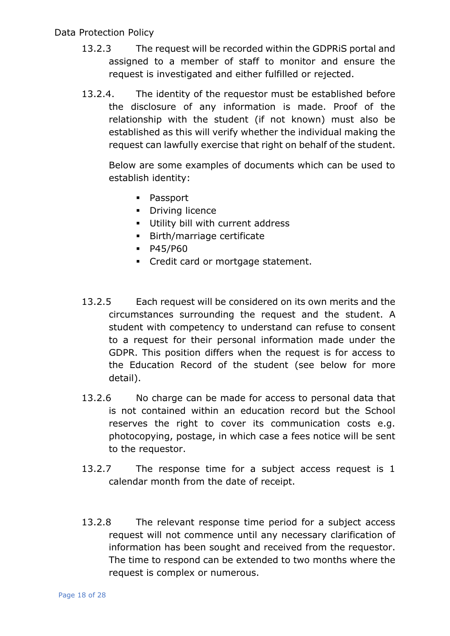- 13.2.3 The request will be recorded within the GDPRiS portal and assigned to a member of staff to monitor and ensure the request is investigated and either fulfilled or rejected.
- 13.2.4. The identity of the requestor must be established before the disclosure of any information is made. Proof of the relationship with the student (if not known) must also be established as this will verify whether the individual making the request can lawfully exercise that right on behalf of the student.

Below are some examples of documents which can be used to establish identity:

- **Passport**
- **•** Driving licence
- **Utility bill with current address**
- Birth/marriage certificate
- **•** P45/P60
- **Credit card or mortgage statement.**
- 13.2.5 Each request will be considered on its own merits and the circumstances surrounding the request and the student. A student with competency to understand can refuse to consent to a request for their personal information made under the GDPR. This position differs when the request is for access to the Education Record of the student (see below for more detail).
- 13.2.6 No charge can be made for access to personal data that is not contained within an education record but the School reserves the right to cover its communication costs e.g. photocopying, postage, in which case a fees notice will be sent to the requestor.
- 13.2.7 The response time for a subject access request is 1 calendar month from the date of receipt.
- 13.2.8 The relevant response time period for a subject access request will not commence until any necessary clarification of information has been sought and received from the requestor. The time to respond can be extended to two months where the request is complex or numerous.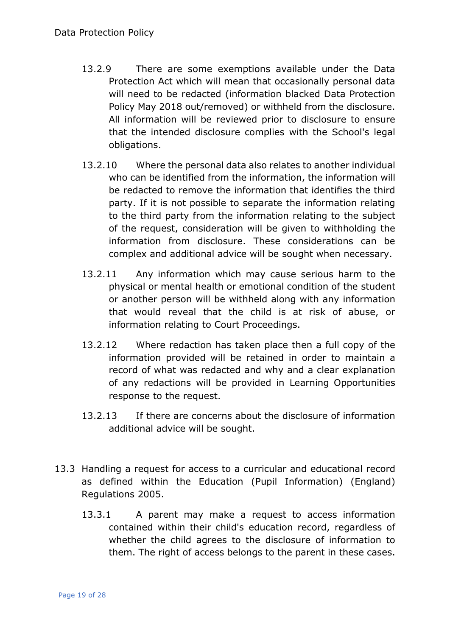- 13.2.9 There are some exemptions available under the Data Protection Act which will mean that occasionally personal data will need to be redacted (information blacked Data Protection Policy May 2018 out/removed) or withheld from the disclosure. All information will be reviewed prior to disclosure to ensure that the intended disclosure complies with the School's legal obligations.
- 13.2.10 Where the personal data also relates to another individual who can be identified from the information, the information will be redacted to remove the information that identifies the third party. If it is not possible to separate the information relating to the third party from the information relating to the subject of the request, consideration will be given to withholding the information from disclosure. These considerations can be complex and additional advice will be sought when necessary.
- 13.2.11 Any information which may cause serious harm to the physical or mental health or emotional condition of the student or another person will be withheld along with any information that would reveal that the child is at risk of abuse, or information relating to Court Proceedings.
- 13.2.12 Where redaction has taken place then a full copy of the information provided will be retained in order to maintain a record of what was redacted and why and a clear explanation of any redactions will be provided in Learning Opportunities response to the request.
- 13.2.13 If there are concerns about the disclosure of information additional advice will be sought.
- 13.3 Handling a request for access to a curricular and educational record as defined within the Education (Pupil Information) (England) Regulations 2005.
	- 13.3.1 A parent may make a request to access information contained within their child's education record, regardless of whether the child agrees to the disclosure of information to them. The right of access belongs to the parent in these cases.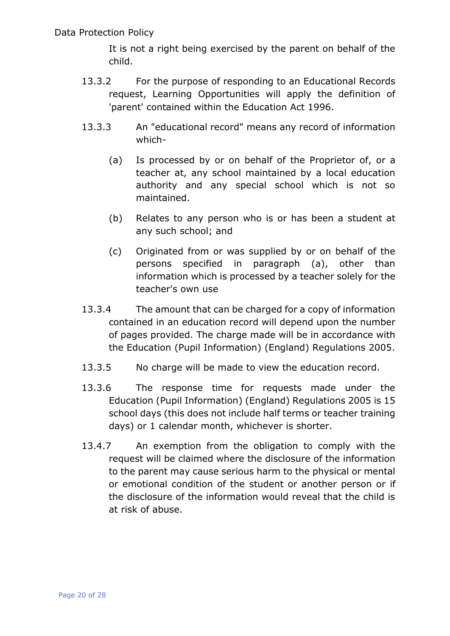It is not a right being exercised by the parent on behalf of the child.

- 13.3.2 For the purpose of responding to an Educational Records request, Learning Opportunities will apply the definition of 'parent' contained within the Education Act 1996.
- 13.3.3 An "educational record" means any record of information which-
	- (a) Is processed by or on behalf of the Proprietor of, or a teacher at, any school maintained by a local education authority and any special school which is not so maintained.
	- (b) Relates to any person who is or has been a student at any such school; and
	- (c) Originated from or was supplied by or on behalf of the persons specified in paragraph (a), other than information which is processed by a teacher solely for the teacher's own use
- 13.3.4 The amount that can be charged for a copy of information contained in an education record will depend upon the number of pages provided. The charge made will be in accordance with the Education (Pupil Information) (England) Regulations 2005.
- 13.3.5 No charge will be made to view the education record.
- 13.3.6 The response time for requests made under the Education (Pupil Information) (England) Regulations 2005 is 15 school days (this does not include half terms or teacher training days) or 1 calendar month, whichever is shorter.
- 13.4.7 An exemption from the obligation to comply with the request will be claimed where the disclosure of the information to the parent may cause serious harm to the physical or mental or emotional condition of the student or another person or if the disclosure of the information would reveal that the child is at risk of abuse.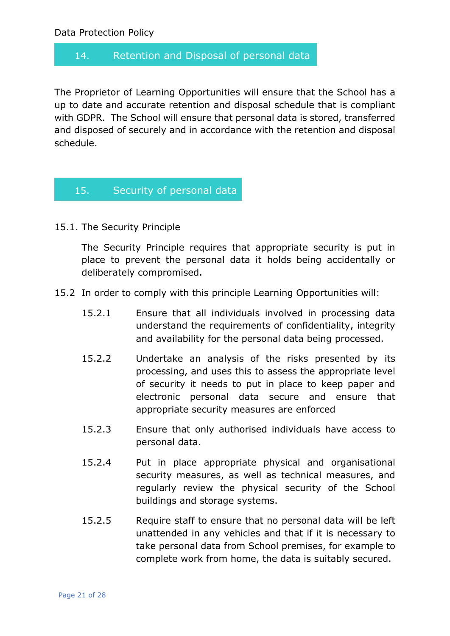# <span id="page-20-0"></span>14. Retention and Disposal of personal data

The Proprietor of Learning Opportunities will ensure that the School has a up to date and accurate retention and disposal schedule that is compliant with GDPR. The School will ensure that personal data is stored, transferred and disposed of securely and in accordance with the retention and disposal schedule.

#### <span id="page-20-1"></span>15. Security of personal data

15.1. The Security Principle

The Security Principle requires that appropriate security is put in place to prevent the personal data it holds being accidentally or deliberately compromised.

- 15.2 In order to comply with this principle Learning Opportunities will:
	- 15.2.1 Ensure that all individuals involved in processing data understand the requirements of confidentiality, integrity and availability for the personal data being processed.
	- 15.2.2 Undertake an analysis of the risks presented by its processing, and uses this to assess the appropriate level of security it needs to put in place to keep paper and electronic personal data secure and ensure that appropriate security measures are enforced
	- 15.2.3 Ensure that only authorised individuals have access to personal data.
	- 15.2.4 Put in place appropriate physical and organisational security measures, as well as technical measures, and regularly review the physical security of the School buildings and storage systems.
	- 15.2.5 Require staff to ensure that no personal data will be left unattended in any vehicles and that if it is necessary to take personal data from School premises, for example to complete work from home, the data is suitably secured.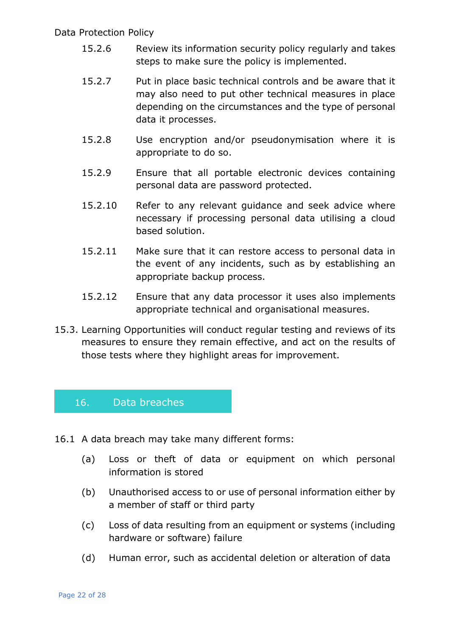- 15.2.6 Review its information security policy regularly and takes steps to make sure the policy is implemented.
- 15.2.7 Put in place basic technical controls and be aware that it may also need to put other technical measures in place depending on the circumstances and the type of personal data it processes.
- 15.2.8 Use encryption and/or pseudonymisation where it is appropriate to do so.
- 15.2.9 Ensure that all portable electronic devices containing personal data are password protected.
- 15.2.10 Refer to any relevant guidance and seek advice where necessary if processing personal data utilising a cloud based solution.
- 15.2.11 Make sure that it can restore access to personal data in the event of any incidents, such as by establishing an appropriate backup process.
- 15.2.12 Ensure that any data processor it uses also implements appropriate technical and organisational measures.
- 15.3. Learning Opportunities will conduct regular testing and reviews of its measures to ensure they remain effective, and act on the results of those tests where they highlight areas for improvement.

# <span id="page-21-0"></span>16. Data breaches

- 16.1 A data breach may take many different forms:
	- (a) Loss or theft of data or equipment on which personal information is stored
	- (b) Unauthorised access to or use of personal information either by a member of staff or third party
	- (c) Loss of data resulting from an equipment or systems (including hardware or software) failure
	- (d) Human error, such as accidental deletion or alteration of data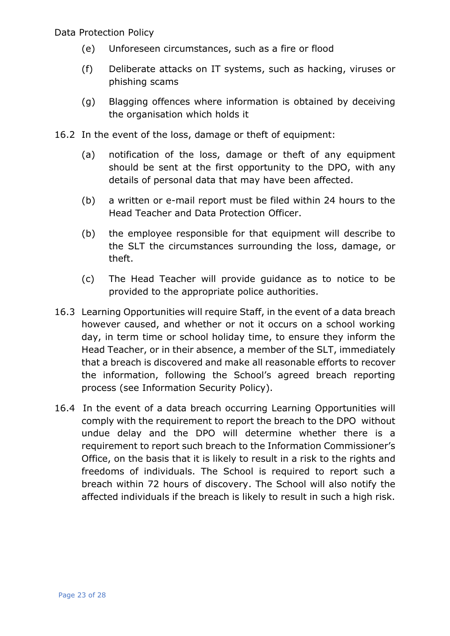- (e) Unforeseen circumstances, such as a fire or flood
- (f) Deliberate attacks on IT systems, such as hacking, viruses or phishing scams
- (g) Blagging offences where information is obtained by deceiving the organisation which holds it
- 16.2 In the event of the loss, damage or theft of equipment:
	- (a) notification of the loss, damage or theft of any equipment should be sent at the first opportunity to the DPO, with any details of personal data that may have been affected.
	- (b) a written or e-mail report must be filed within 24 hours to the Head Teacher and Data Protection Officer.
	- (b) the employee responsible for that equipment will describe to the SLT the circumstances surrounding the loss, damage, or theft.
	- (c) The Head Teacher will provide guidance as to notice to be provided to the appropriate police authorities.
- 16.3 Learning Opportunities will require Staff, in the event of a data breach however caused, and whether or not it occurs on a school working day, in term time or school holiday time, to ensure they inform the Head Teacher, or in their absence, a member of the SLT, immediately that a breach is discovered and make all reasonable efforts to recover the information, following the School's agreed breach reporting process (see Information Security Policy).
- 16.4 In the event of a data breach occurring Learning Opportunities will comply with the requirement to report the breach to the DPO without undue delay and the DPO will determine whether there is a requirement to report such breach to the Information Commissioner's Office, on the basis that it is likely to result in a risk to the rights and freedoms of individuals. The School is required to report such a breach within 72 hours of discovery. The School will also notify the affected individuals if the breach is likely to result in such a high risk.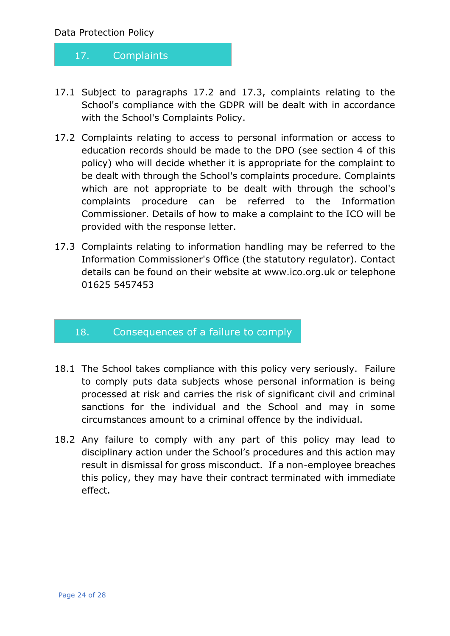# <span id="page-23-0"></span>17. Complaints

- 17.1 Subject to paragraphs 17.2 and 17.3, complaints relating to the School's compliance with the GDPR will be dealt with in accordance with the School's Complaints Policy.
- 17.2 Complaints relating to access to personal information or access to education records should be made to the DPO (see section 4 of this policy) who will decide whether it is appropriate for the complaint to be dealt with through the School's complaints procedure. Complaints which are not appropriate to be dealt with through the school's complaints procedure can be referred to the Information Commissioner. Details of how to make a complaint to the ICO will be provided with the response letter.
- 17.3 Complaints relating to information handling may be referred to the Information Commissioner's Office (the statutory regulator). Contact details can be found on their website at www.ico.org.uk or telephone 01625 5457453

# <span id="page-23-1"></span>18. Consequences of a failure to comply

- 18.1 The School takes compliance with this policy very seriously. Failure to comply puts data subjects whose personal information is being processed at risk and carries the risk of significant civil and criminal sanctions for the individual and the School and may in some circumstances amount to a criminal offence by the individual.
- 18.2 Any failure to comply with any part of this policy may lead to disciplinary action under the School's procedures and this action may result in dismissal for gross misconduct. If a non-employee breaches this policy, they may have their contract terminated with immediate effect.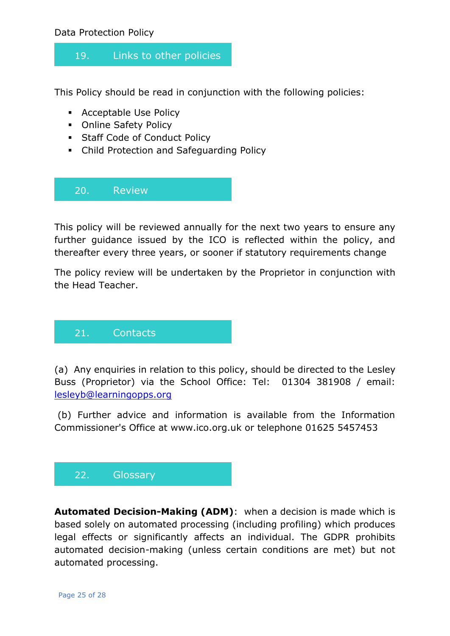# <span id="page-24-0"></span>19. Links to other policies

This Policy should be read in conjunction with the following policies:

- **Acceptable Use Policy**
- **Online Safety Policy**
- **Staff Code of Conduct Policy**
- Child Protection and Safeguarding Policy

<span id="page-24-1"></span>20. Review

This policy will be reviewed annually for the next two years to ensure any further guidance issued by the ICO is reflected within the policy, and thereafter every three years, or sooner if statutory requirements change

The policy review will be undertaken by the Proprietor in conjunction with the Head Teacher.

<span id="page-24-2"></span>

(a) Any enquiries in relation to this policy, should be directed to the Lesley Buss (Proprietor) via the School Office: Tel: 01304 381908 / email: [lesleyb@learningopps.org](mailto:lesleyb@learningopps.org)

(b) Further advice and information is available from the Information Commissioner's Office at www.ico.org.uk or telephone 01625 5457453

# <span id="page-24-3"></span>22. Glossary

**Automated Decision-Making (ADM)**: when a decision is made which is based solely on automated processing (including profiling) which produces legal effects or significantly affects an individual. The GDPR prohibits automated decision-making (unless certain conditions are met) but not automated processing.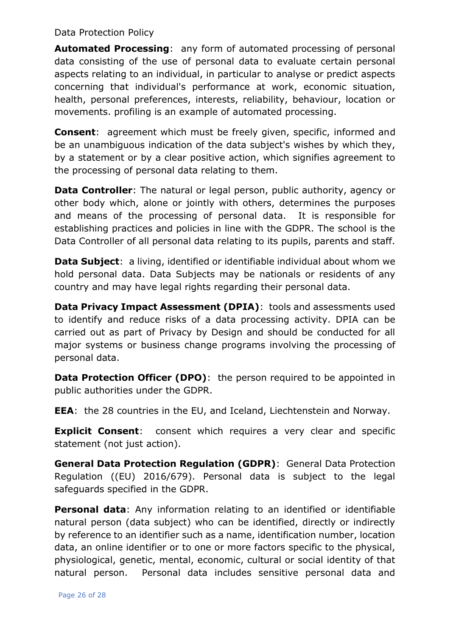**Automated Processing**: any form of automated processing of personal data consisting of the use of personal data to evaluate certain personal aspects relating to an individual, in particular to analyse or predict aspects concerning that individual's performance at work, economic situation, health, personal preferences, interests, reliability, behaviour, location or movements. profiling is an example of automated processing.

**Consent**: agreement which must be freely given, specific, informed and be an unambiguous indication of the data subject's wishes by which they, by a statement or by a clear positive action, which signifies agreement to the processing of personal data relating to them.

**Data Controller**: The natural or legal person, public authority, agency or other body which, alone or jointly with others, determines the purposes and means of the processing of personal data. It is responsible for establishing practices and policies in line with the GDPR. The school is the Data Controller of all personal data relating to its pupils, parents and staff.

**Data Subject**: a living, identified or identifiable individual about whom we hold personal data. Data Subjects may be nationals or residents of any country and may have legal rights regarding their personal data.

**Data Privacy Impact Assessment (DPIA)**: tools and assessments used to identify and reduce risks of a data processing activity. DPIA can be carried out as part of Privacy by Design and should be conducted for all major systems or business change programs involving the processing of personal data.

**Data Protection Officer (DPO):** the person required to be appointed in public authorities under the GDPR.

**EEA**: the 28 countries in the EU, and Iceland, Liechtenstein and Norway.

**Explicit Consent:** consent which requires a very clear and specific statement (not just action).

**General Data Protection Regulation (GDPR)**: General Data Protection Regulation ((EU) 2016/679). Personal data is subject to the legal safeguards specified in the GDPR.

**Personal data**: Any information relating to an identified or identifiable natural person (data subject) who can be identified, directly or indirectly by reference to an identifier such as a name, identification number, location data, an online identifier or to one or more factors specific to the physical, physiological, genetic, mental, economic, cultural or social identity of that natural person. Personal data includes sensitive personal data and